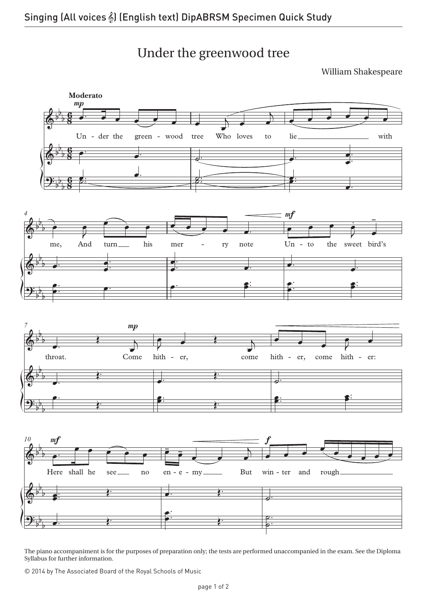Under the greenwood tree

William Shakespeare



The piano accompaniment is for the purposes of preparation only; the tests are performed unaccompanied in the exam. See the Diploma Syllabus for further information.

© 2014 by The Associated Board of the Royal Schools of Music